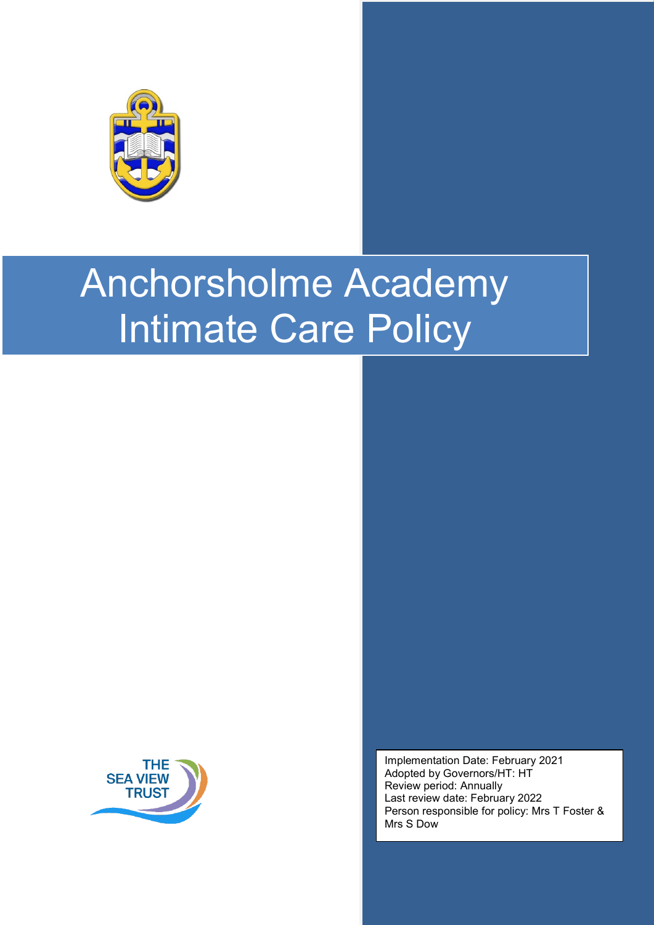

# Anchorsholme Academy Intimate Care Policy



Implementation Date: February 2021 Adopted by Governors/HT: HT Review period: Annually Last review date: February 2022 Person responsible for policy: Mrs T Foster & Mrs S Dow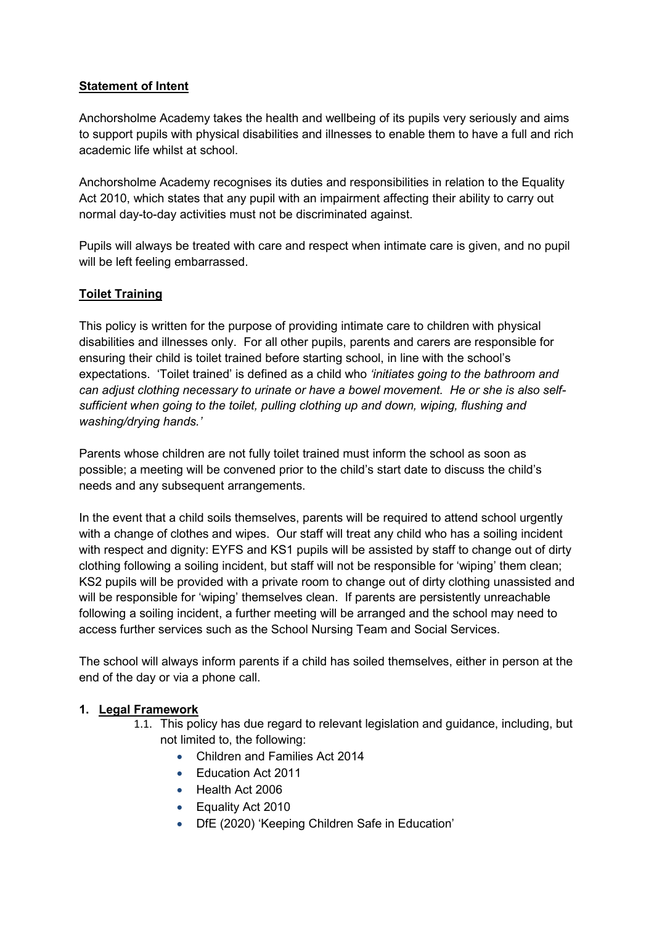#### **Statement of Intent**

Anchorsholme Academy takes the health and wellbeing of its pupils very seriously and aims to support pupils with physical disabilities and illnesses to enable them to have a full and rich academic life whilst at school.

Anchorsholme Academy recognises its duties and responsibilities in relation to the Equality Act 2010, which states that any pupil with an impairment affecting their ability to carry out normal day-to-day activities must not be discriminated against.

Pupils will always be treated with care and respect when intimate care is given, and no pupil will be left feeling embarrassed.

#### **Toilet Training**

This policy is written for the purpose of providing intimate care to children with physical disabilities and illnesses only. For all other pupils, parents and carers are responsible for ensuring their child is toilet trained before starting school, in line with the school's expectations. 'Toilet trained' is defined as a child who *'initiates going to the bathroom and can adjust clothing necessary to urinate or have a bowel movement. He or she is also selfsufficient when going to the toilet, pulling clothing up and down, wiping, flushing and washing/drying hands.'*

Parents whose children are not fully toilet trained must inform the school as soon as possible; a meeting will be convened prior to the child's start date to discuss the child's needs and any subsequent arrangements.

In the event that a child soils themselves, parents will be required to attend school urgently with a change of clothes and wipes. Our staff will treat any child who has a soiling incident with respect and dignity: EYFS and KS1 pupils will be assisted by staff to change out of dirty clothing following a soiling incident, but staff will not be responsible for 'wiping' them clean; KS2 pupils will be provided with a private room to change out of dirty clothing unassisted and will be responsible for 'wiping' themselves clean. If parents are persistently unreachable following a soiling incident, a further meeting will be arranged and the school may need to access further services such as the School Nursing Team and Social Services.

The school will always inform parents if a child has soiled themselves, either in person at the end of the day or via a phone call.

#### **1. Legal Framework**

- 1.1. This policy has due regard to relevant legislation and guidance, including, but not limited to, the following:
	- Children and Families Act 2014
	- Education Act 2011
	- Health Act 2006
	- Equality Act 2010
	- DfE (2020) 'Keeping Children Safe in Education'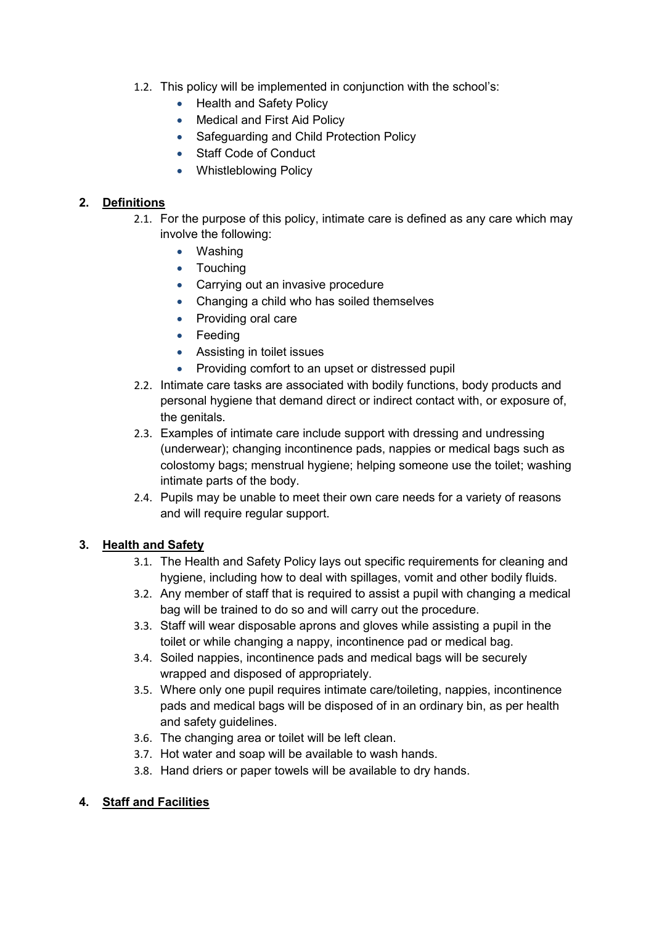- 1.2. This policy will be implemented in conjunction with the school's:
	- Health and Safety Policy
	- Medical and First Aid Policy
	- Safeguarding and Child Protection Policy
	- Staff Code of Conduct
	- Whistleblowing Policy

## **2. Definitions**

- 2.1. For the purpose of this policy, intimate care is defined as any care which may involve the following:
	- Washing
	- Touching
	- Carrying out an invasive procedure
	- Changing a child who has soiled themselves
	- Providing oral care
	- Feeding
	- Assisting in toilet issues
	- Providing comfort to an upset or distressed pupil
- 2.2. Intimate care tasks are associated with bodily functions, body products and personal hygiene that demand direct or indirect contact with, or exposure of, the genitals.
- 2.3. Examples of intimate care include support with dressing and undressing (underwear); changing incontinence pads, nappies or medical bags such as colostomy bags; menstrual hygiene; helping someone use the toilet; washing intimate parts of the body.
- 2.4. Pupils may be unable to meet their own care needs for a variety of reasons and will require regular support.

#### **3. Health and Safety**

- 3.1. The Health and Safety Policy lays out specific requirements for cleaning and hygiene, including how to deal with spillages, vomit and other bodily fluids.
- 3.2. Any member of staff that is required to assist a pupil with changing a medical bag will be trained to do so and will carry out the procedure.
- 3.3. Staff will wear disposable aprons and gloves while assisting a pupil in the toilet or while changing a nappy, incontinence pad or medical bag.
- 3.4. Soiled nappies, incontinence pads and medical bags will be securely wrapped and disposed of appropriately.
- 3.5. Where only one pupil requires intimate care/toileting, nappies, incontinence pads and medical bags will be disposed of in an ordinary bin, as per health and safety guidelines.
- 3.6. The changing area or toilet will be left clean.
- 3.7. Hot water and soap will be available to wash hands.
- 3.8. Hand driers or paper towels will be available to dry hands.

#### **4. Staff and Facilities**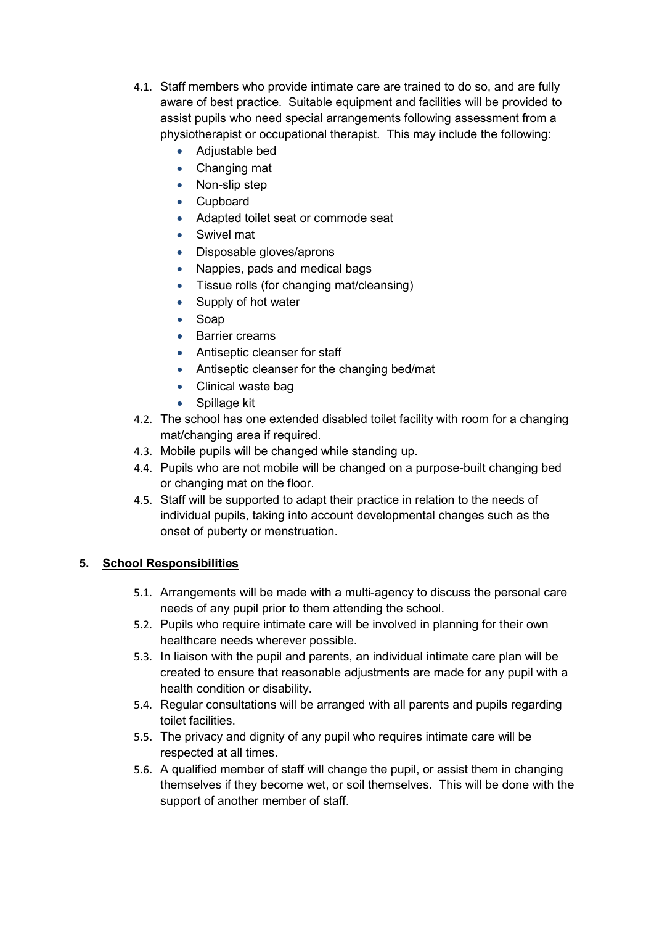- 4.1. Staff members who provide intimate care are trained to do so, and are fully aware of best practice. Suitable equipment and facilities will be provided to assist pupils who need special arrangements following assessment from a physiotherapist or occupational therapist. This may include the following:
	- Adjustable bed
	- Changing mat
	- Non-slip step
	- Cupboard
	- Adapted toilet seat or commode seat
	- Swivel mat
	- Disposable gloves/aprons
	- Nappies, pads and medical bags
	- Tissue rolls (for changing mat/cleansing)
	- Supply of hot water
	- Soap
	- Barrier creams
	- Antiseptic cleanser for staff
	- Antiseptic cleanser for the changing bed/mat
	- Clinical waste bag
	- Spillage kit
- 4.2. The school has one extended disabled toilet facility with room for a changing mat/changing area if required.
- 4.3. Mobile pupils will be changed while standing up.
- 4.4. Pupils who are not mobile will be changed on a purpose-built changing bed or changing mat on the floor.
- 4.5. Staff will be supported to adapt their practice in relation to the needs of individual pupils, taking into account developmental changes such as the onset of puberty or menstruation.

#### **5. School Responsibilities**

- 5.1. Arrangements will be made with a multi-agency to discuss the personal care needs of any pupil prior to them attending the school.
- 5.2. Pupils who require intimate care will be involved in planning for their own healthcare needs wherever possible.
- 5.3. In liaison with the pupil and parents, an individual intimate care plan will be created to ensure that reasonable adjustments are made for any pupil with a health condition or disability.
- 5.4. Regular consultations will be arranged with all parents and pupils regarding toilet facilities.
- 5.5. The privacy and dignity of any pupil who requires intimate care will be respected at all times.
- 5.6. A qualified member of staff will change the pupil, or assist them in changing themselves if they become wet, or soil themselves. This will be done with the support of another member of staff.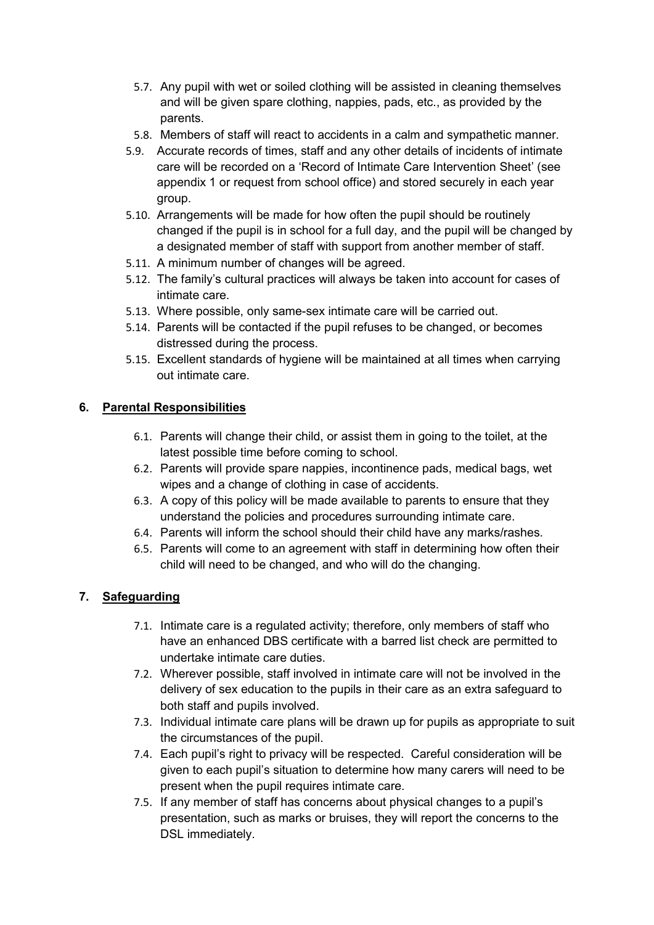- 5.7. Any pupil with wet or soiled clothing will be assisted in cleaning themselves and will be given spare clothing, nappies, pads, etc., as provided by the parents.
- 5.8. Members of staff will react to accidents in a calm and sympathetic manner.
- 5.9. Accurate records of times, staff and any other details of incidents of intimate care will be recorded on a ['Record of Intimate Care Intervention](#page-6-0) Sheet' (see appendix 1 or request from school office) and stored securely in each year group.
- 5.10. Arrangements will be made for how often the pupil should be routinely changed if the pupil is in school for a full day, and the pupil will be changed by a designated member of staff with support from another member of staff.
- 5.11. A minimum number of changes will be agreed.
- 5.12. The family's cultural practices will always be taken into account for cases of intimate care.
- 5.13. Where possible, only same-sex intimate care will be carried out.
- 5.14. Parents will be contacted if the pupil refuses to be changed, or becomes distressed during the process.
- 5.15. Excellent standards of hygiene will be maintained at all times when carrying out intimate care.

# **6. Parental Responsibilities**

- 6.1. Parents will change their child, or assist them in going to the toilet, at the latest possible time before coming to school.
- 6.2. Parents will provide spare nappies, incontinence pads, medical bags, wet wipes and a change of clothing in case of accidents.
- 6.3. A copy of this policy will be made available to parents to ensure that they understand the policies and procedures surrounding intimate care.
- 6.4. Parents will inform the school should their child have any marks/rashes.
- 6.5. Parents will come to an agreement with staff in determining how often their child will need to be changed, and who will do the changing.

#### **7. Safeguarding**

- 7.1. Intimate care is a regulated activity; therefore, only members of staff who have an enhanced DBS certificate with a barred list check are permitted to undertake intimate care duties.
- 7.2. Wherever possible, staff involved in intimate care will not be involved in the delivery of sex education to the pupils in their care as an extra safeguard to both staff and pupils involved.
- 7.3. Individual intimate care plans will be drawn up for pupils as appropriate to suit the circumstances of the pupil.
- 7.4. Each pupil's right to privacy will be respected. Careful consideration will be given to each pupil's situation to determine how many carers will need to be present when the pupil requires intimate care.
- 7.5. If any member of staff has concerns about physical changes to a pupil's presentation, such as marks or bruises, they will report the concerns to the DSL immediately.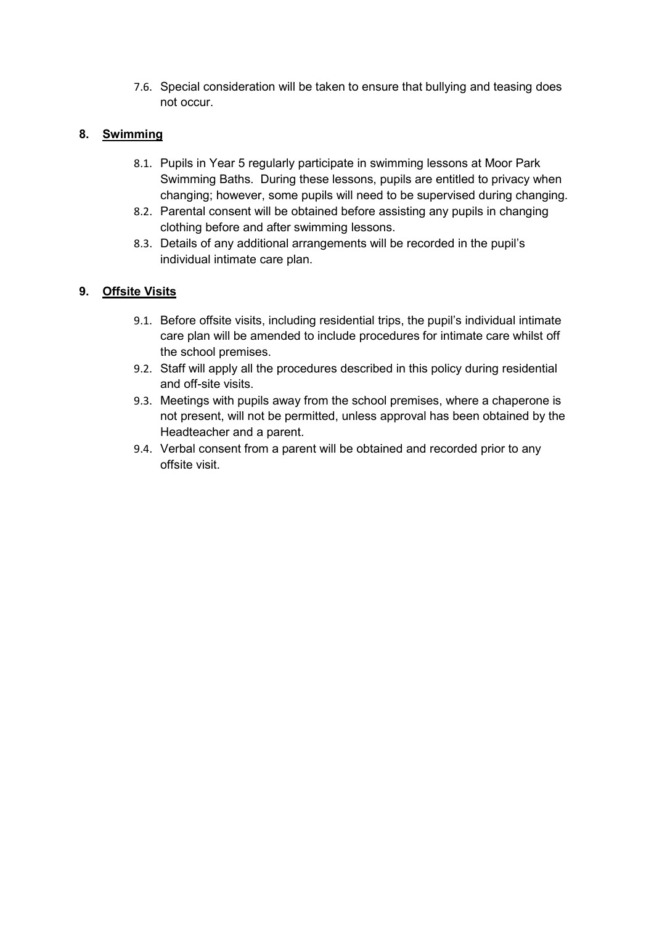7.6. Special consideration will be taken to ensure that bullying and teasing does not occur.

# **8. Swimming**

- 8.1. Pupils in Year 5 regularly participate in swimming lessons at Moor Park Swimming Baths. During these lessons, pupils are entitled to privacy when changing; however, some pupils will need to be supervised during changing.
- 8.2. Parental consent will be obtained before assisting any pupils in changing clothing before and after swimming lessons.
- 8.3. Details of any additional arrangements will be recorded in the pupil's individual intimate care plan.

# **9. Offsite Visits**

- 9.1. Before offsite visits, including residential trips, the pupil's individual intimate care plan will be amended to include procedures for intimate care whilst off the school premises.
- 9.2. Staff will apply all the procedures described in this policy during residential and off-site visits.
- 9.3. Meetings with pupils away from the school premises, where a chaperone is not present, will not be permitted, unless approval has been obtained by the Headteacher and a parent.
- 9.4. Verbal consent from a parent will be obtained and recorded prior to any offsite visit.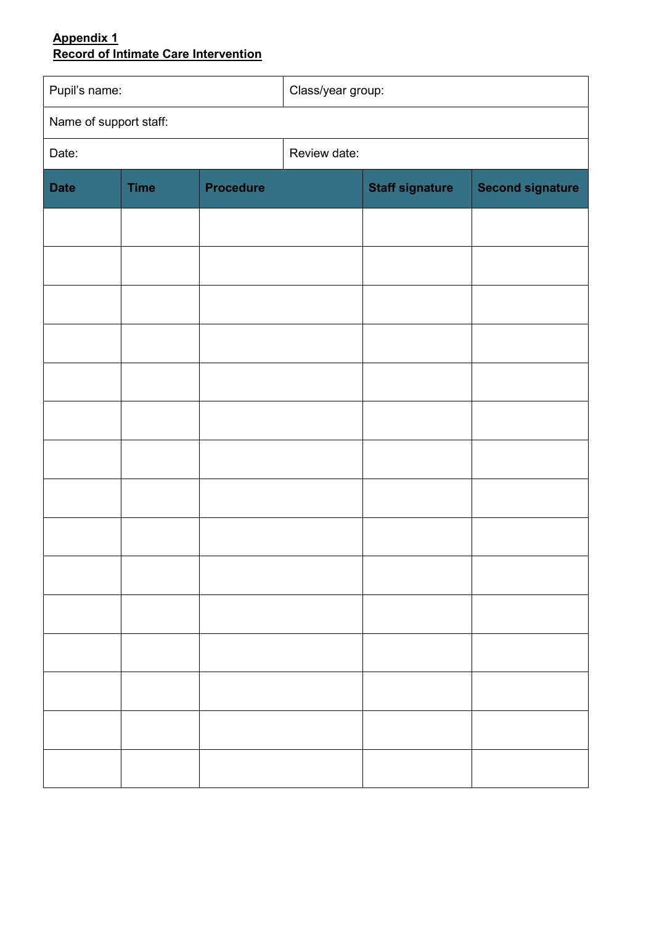# <span id="page-6-0"></span>**Appendix 1 Record of Intimate Care Intervention**

| Pupil's name:          |             |                  | Class/year group: |                        |                         |
|------------------------|-------------|------------------|-------------------|------------------------|-------------------------|
| Name of support staff: |             |                  |                   |                        |                         |
| Date:                  |             |                  | Review date:      |                        |                         |
| <b>Date</b>            | <b>Time</b> | <b>Procedure</b> |                   | <b>Staff signature</b> | <b>Second signature</b> |
|                        |             |                  |                   |                        |                         |
|                        |             |                  |                   |                        |                         |
|                        |             |                  |                   |                        |                         |
|                        |             |                  |                   |                        |                         |
|                        |             |                  |                   |                        |                         |
|                        |             |                  |                   |                        |                         |
|                        |             |                  |                   |                        |                         |
|                        |             |                  |                   |                        |                         |
|                        |             |                  |                   |                        |                         |
|                        |             |                  |                   |                        |                         |
|                        |             |                  |                   |                        |                         |
|                        |             |                  |                   |                        |                         |
|                        |             |                  |                   |                        |                         |
|                        |             |                  |                   |                        |                         |
|                        |             |                  |                   |                        |                         |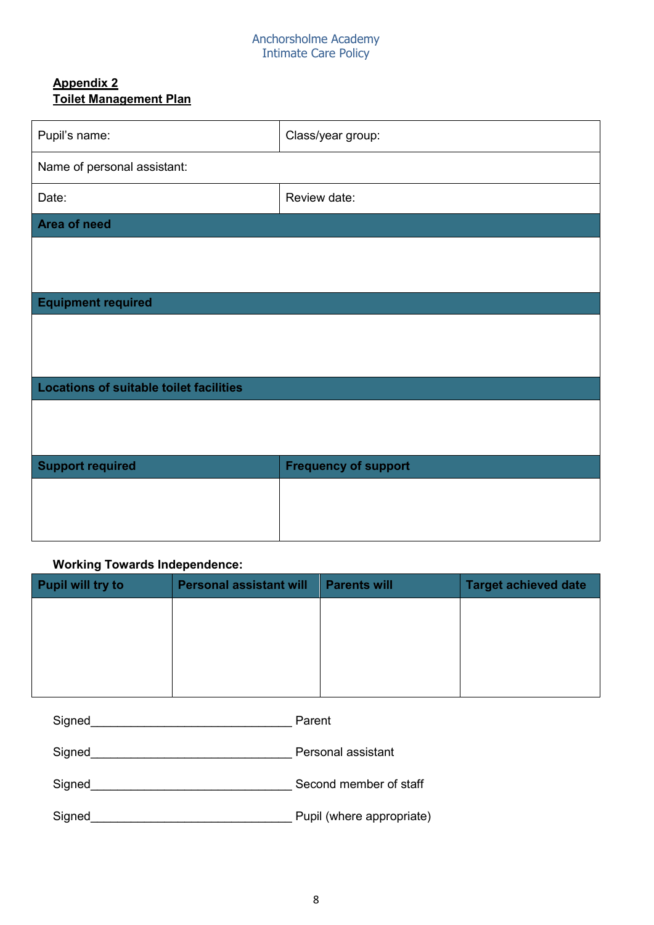#### Anchorsholme Academy Intimate Care Policy

# **Appendix 2 Toilet Management Plan**

| Pupil's name:                                  | Class/year group:           |  |  |  |  |
|------------------------------------------------|-----------------------------|--|--|--|--|
| Name of personal assistant:                    |                             |  |  |  |  |
| Date:                                          | Review date:                |  |  |  |  |
| Area of need                                   |                             |  |  |  |  |
|                                                |                             |  |  |  |  |
|                                                |                             |  |  |  |  |
| <b>Equipment required</b>                      |                             |  |  |  |  |
|                                                |                             |  |  |  |  |
|                                                |                             |  |  |  |  |
| <b>Locations of suitable toilet facilities</b> |                             |  |  |  |  |
|                                                |                             |  |  |  |  |
|                                                |                             |  |  |  |  |
| <b>Support required</b>                        | <b>Frequency of support</b> |  |  |  |  |
|                                                |                             |  |  |  |  |
|                                                |                             |  |  |  |  |
|                                                |                             |  |  |  |  |

# **Working Towards Independence:**

| <b>Pupil will try to</b> | <b>Personal assistant will</b> | <b>Parents will</b> | <b>Target achieved date</b> |
|--------------------------|--------------------------------|---------------------|-----------------------------|
|                          |                                |                     |                             |
|                          |                                |                     |                             |
|                          |                                |                     |                             |
|                          |                                |                     |                             |

| Signed | Parent                    |
|--------|---------------------------|
| Signed | Personal assistant        |
| Signed | Second member of staff    |
| Signed | Pupil (where appropriate) |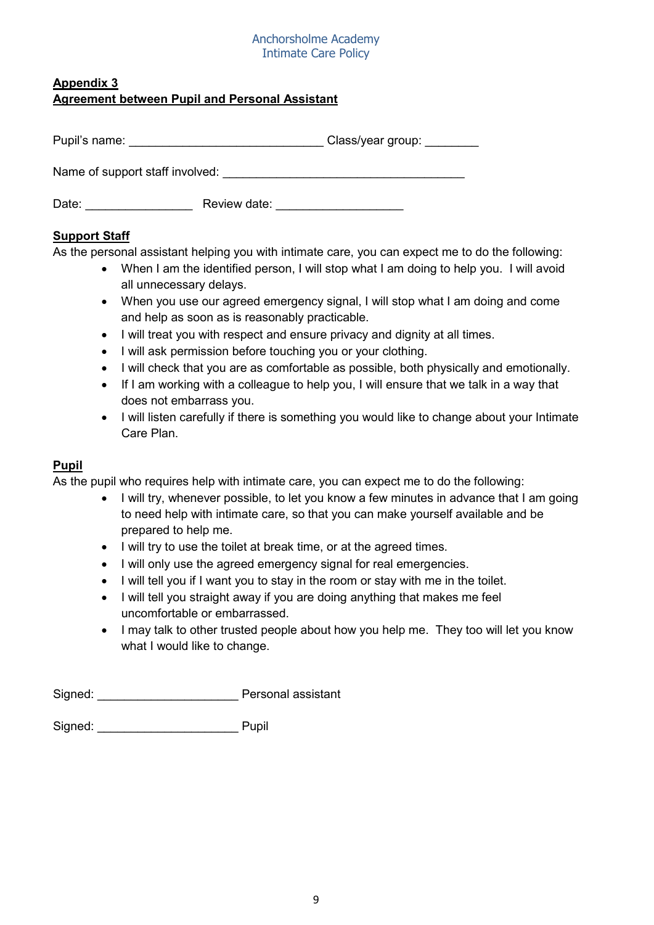#### Anchorsholme Academy Intimate Care Policy

## **Appendix 3 Agreement between Pupil and Personal Assistant**

| Pupil's name:                   | Class/year group: _______ |  |
|---------------------------------|---------------------------|--|
| Name of support staff involved: |                           |  |
| Date:                           | Review date:              |  |

# **Support Staff**

As the personal assistant helping you with intimate care, you can expect me to do the following:

- When I am the identified person, I will stop what I am doing to help you. I will avoid all unnecessary delays.
- When you use our agreed emergency signal, I will stop what I am doing and come and help as soon as is reasonably practicable.
- I will treat you with respect and ensure privacy and dignity at all times.
- I will ask permission before touching you or your clothing.
- I will check that you are as comfortable as possible, both physically and emotionally.
- If I am working with a colleague to help you, I will ensure that we talk in a way that does not embarrass you.
- I will listen carefully if there is something you would like to change about your Intimate Care Plan.

# **Pupil**

As the pupil who requires help with intimate care, you can expect me to do the following:

- I will try, whenever possible, to let you know a few minutes in advance that I am going to need help with intimate care, so that you can make yourself available and be prepared to help me.
- I will try to use the toilet at break time, or at the agreed times.
- I will only use the agreed emergency signal for real emergencies.
- I will tell you if I want you to stay in the room or stay with me in the toilet.
- I will tell you straight away if you are doing anything that makes me feel uncomfortable or embarrassed.
- I may talk to other trusted people about how you help me. They too will let you know what I would like to change.

Signed: Pupil